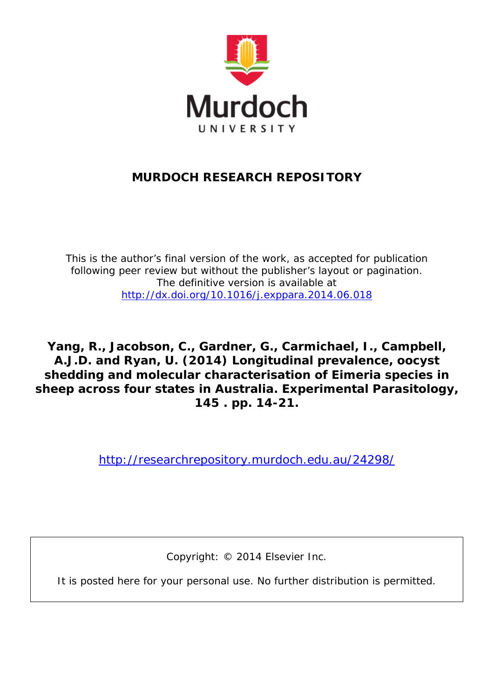

### **MURDOCH RESEARCH REPOSITORY**

*This is the author's final version of the work, as accepted for publication following peer review but without the publisher's layout or pagination. The definitive version is available at <http://dx.doi.org/10.1016/j.exppara.2014.06.018>*

**Yang, R., Jacobson, C., Gardner, G., Carmichael, I., Campbell, A.J.D. and Ryan, U. (2014) Longitudinal prevalence, oocyst shedding and molecular characterisation of Eimeria species in sheep across four states in Australia. Experimental Parasitology, 145 . pp. 14-21.**

<http://researchrepository.murdoch.edu.au/24298/>

Copyright: © 2014 Elsevier Inc.

It is posted here for your personal use. No further distribution is permitted.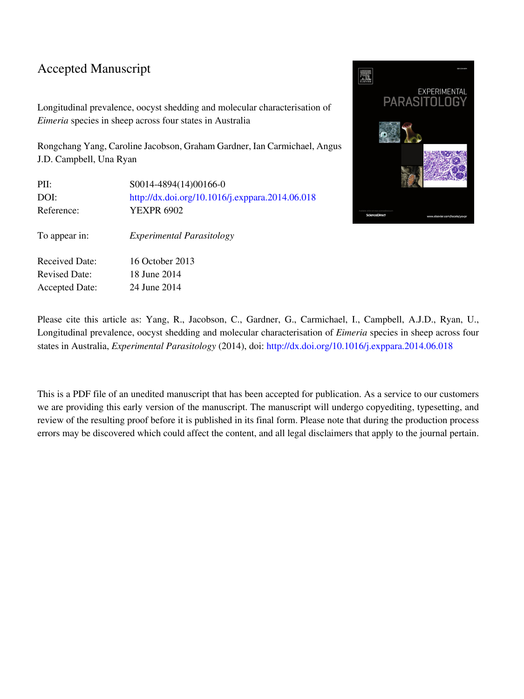#### Accepted Manuscript

Longitudinal prevalence, oocyst shedding and molecular characterisation of *Eimeria* species in sheep across four states in Australia

Rongchang Yang, Caroline Jacobson, Graham Gardner, Ian Carmichael, Angus J.D. Campbell, Una Ryan

| PII:                  | S0014-4894(14)00166-0                           |
|-----------------------|-------------------------------------------------|
| DOI:                  | http://dx.doi.org/10.1016/j.exppara.2014.06.018 |
| Reference:            | YEXPR 6902                                      |
| To appear in:         | <i>Experimental Parasitology</i>                |
| <b>Received Date:</b> | 16 October 2013                                 |
| <b>Revised Date:</b>  | 18 June 2014                                    |
| <b>Accepted Date:</b> | 24 June 2014                                    |



Please cite this article as: Yang, R., Jacobson, C., Gardner, G., Carmichael, I., Campbell, A.J.D., Ryan, U., Longitudinal prevalence, oocyst shedding and molecular characterisation of *Eimeria* species in sheep across four states in Australia, *Experimental Parasitology* (2014), doi: [http://dx.doi.org/10.1016/j.exppara.2014.06.018](http://dx.doi.org/http://dx.doi.org/10.1016/j.exppara.2014.06.018)

This is a PDF file of an unedited manuscript that has been accepted for publication. As a service to our customers we are providing this early version of the manuscript. The manuscript will undergo copyediting, typesetting, and review of the resulting proof before it is published in its final form. Please note that during the production process errors may be discovered which could affect the content, and all legal disclaimers that apply to the journal pertain.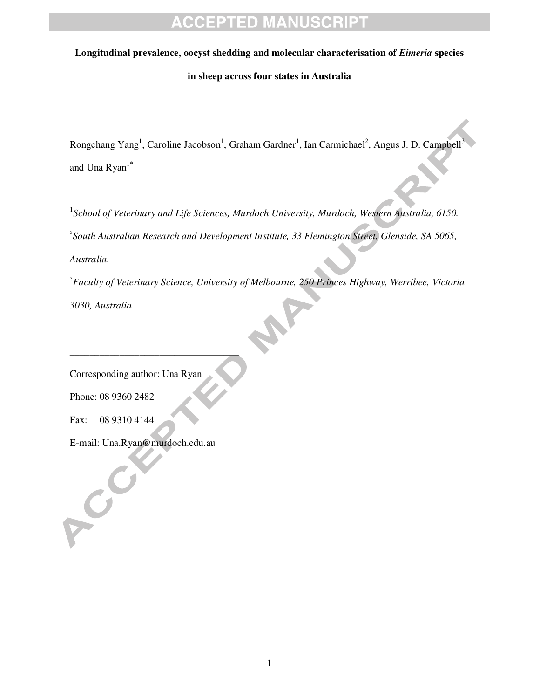#### **Longitudinal prevalence, oocyst shedding and molecular characterisation of** *Eimeria* **species**

#### **in sheep across four states in Australia**

Rongchang Yang<sup>1</sup>, Caroline Jacobson<sup>1</sup>, Graham Gardner<sup>1</sup>, Ian Carmichael<sup>2</sup>, Angus J. D. Campbell<sup>3</sup> and Una Ryan $1^*$ 

<sup>1</sup> School of Veterinary and Life Sciences, Murdoch University, Murdoch, Western Australia, 6150. 2 *South Australian Research and Development Institute, 33 Flemington Street, Glenside, SA 5065, Australia.* 

3 *Faculty of Veterinary Science, University of Melbourne, 250 Princes Highway, Werribee, Victoria* 

*3030, Australia* 

Corresponding author: Una Ryan

\_\_\_\_\_\_\_\_\_\_\_\_\_\_\_\_\_\_\_\_\_\_\_\_\_\_\_\_\_\_\_\_\_\_

Phone: 08 9360 2482

Fax: 08 9310 4144

POC

E-mail: Una.Ryan@murdoch.edu.au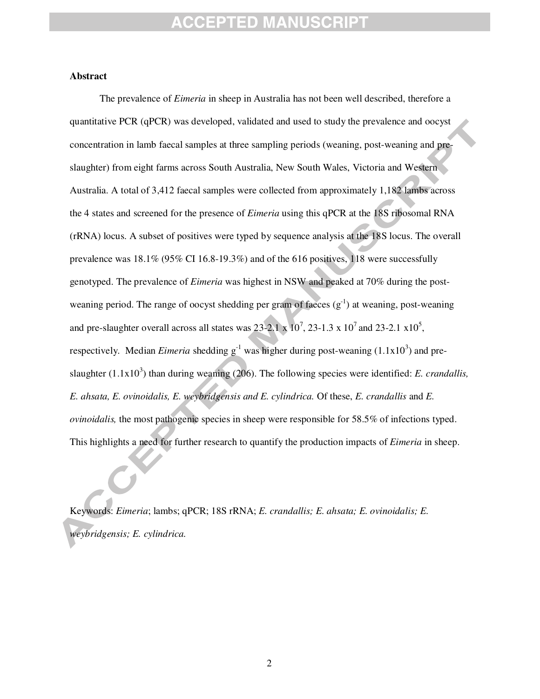### CEPTED MANUSCRI

#### **Abstract**

The prevalence of *Eimeria* in sheep in Australia has not been well described, therefore a quantitative PCR (qPCR) was developed, validated and used to study the prevalence and oocyst concentration in lamb faecal samples at three sampling periods (weaning, post-weaning and preslaughter) from eight farms across South Australia, New South Wales, Victoria and Western Australia. A total of 3,412 faecal samples were collected from approximately 1,182 lambs across the 4 states and screened for the presence of *Eimeria* using this qPCR at the 18S ribosomal RNA (rRNA) locus. A subset of positives were typed by sequence analysis at the 18S locus. The overall prevalence was 18.1% (95% CI 16.8-19.3%) and of the 616 positives, 118 were successfully genotyped. The prevalence of *Eimeria* was highest in NSW and peaked at 70% during the postweaning period. The range of oocyst shedding per gram of faeces  $(g^{-1})$  at weaning, post-weaning and pre-slaughter overall across all states was  $23-2.1 \times 10^7$ ,  $23-1.3 \times 10^7$  and  $23-2.1 \times 10^5$ , respectively. Median *Eimeria* shedding  $g^{-1}$  was higher during post-weaning  $(1.1x10^3)$  and preslaughter  $(1.1x10<sup>3</sup>)$  than during weaning (206). The following species were identified: *E. crandallis*, *E. ahsata, E. ovinoidalis, E. weybridgensis and E. cylindrica.* Of these, *E. crandallis* and *E. ovinoidalis,* the most pathogenic species in sheep were responsible for 58.5% of infections typed. This highlights a need for further research to quantify the production impacts of *Eimeria* in sheep.

Keywords: *Eimeria*; lambs; qPCR; 18S rRNA; *E. crandallis; E. ahsata; E. ovinoidalis; E. weybridgensis; E. cylindrica.*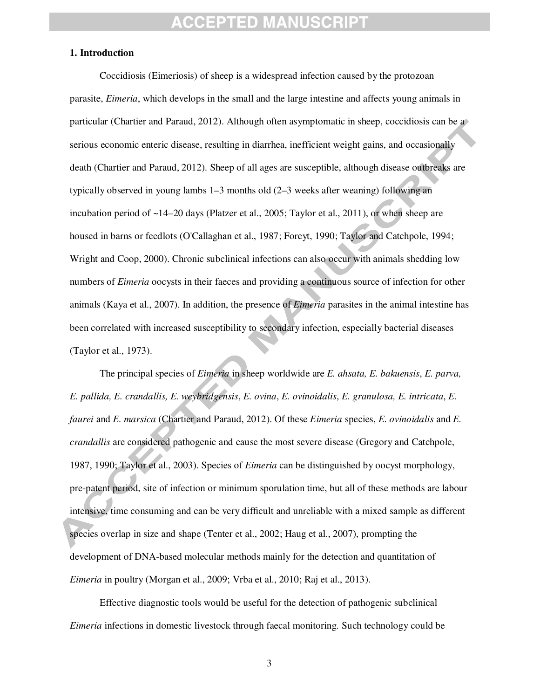#### **1. Introduction**

Coccidiosis (Eimeriosis) of sheep is a widespread infection caused by the protozoan parasite, *Eimeria*, which develops in the small and the large intestine and affects young animals in particular (Chartier and Paraud, 2012). Although often asymptomatic in sheep, coccidiosis can be a serious economic enteric disease, resulting in diarrhea, inefficient weight gains, and occasionally death (Chartier and Paraud, 2012). Sheep of all ages are susceptible, although disease outbreaks are typically observed in young lambs 1–3 months old (2–3 weeks after weaning) following an incubation period of ~14–20 days (Platzer et al., 2005; Taylor et al., 2011), or when sheep are housed in barns or feedlots (O'Callaghan et al., 1987; Foreyt, 1990; Taylor and Catchpole, 1994; Wright and Coop, 2000). Chronic subclinical infections can also occur with animals shedding low numbers of *Eimeria* oocysts in their faeces and providing a continuous source of infection for other animals (Kaya et al., 2007). In addition, the presence of *Eimeria* parasites in the animal intestine has been correlated with increased susceptibility to secondary infection, especially bacterial diseases (Taylor et al., 1973).

The principal species of *Eimeria* in sheep worldwide are *E. ahsata, E. bakuensis*, *E. parva, E. pallida, E. crandallis, E. weybridgensis*, *E. ovina*, *E. ovinoidalis*, *E. granulosa, E. intricata*, *E. faurei* and *E. marsica* (Chartier and Paraud, 2012). Of these *Eimeria* species, *E. ovinoidalis* and *E. crandallis* are considered pathogenic and cause the most severe disease (Gregory and Catchpole, 1987, 1990; Taylor et al., 2003). Species of *Eimeria* can be distinguished by oocyst morphology, pre-patent period, site of infection or minimum sporulation time, but all of these methods are labour intensive, time consuming and can be very difficult and unreliable with a mixed sample as different species overlap in size and shape (Tenter et al., 2002; Haug et al., 2007), prompting the development of DNA-based molecular methods mainly for the detection and quantitation of *Eimeria* in poultry (Morgan et al., 2009; Vrba et al., 2010; Raj et al., 2013).

Effective diagnostic tools would be useful for the detection of pathogenic subclinical *Eimeria* infections in domestic livestock through faecal monitoring. Such technology could be

3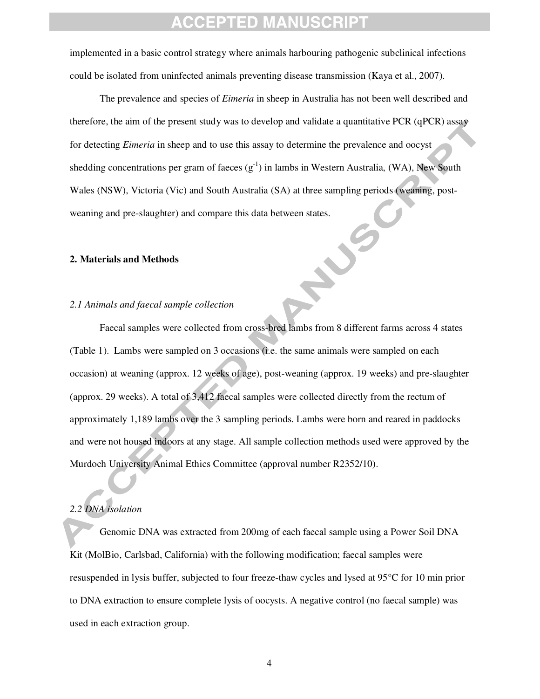implemented in a basic control strategy where animals harbouring pathogenic subclinical infections could be isolated from uninfected animals preventing disease transmission (Kaya et al., 2007).

The prevalence and species of *Eimeria* in sheep in Australia has not been well described and therefore, the aim of the present study was to develop and validate a quantitative PCR (qPCR) assay for detecting *Eimeria* in sheep and to use this assay to determine the prevalence and oocyst shedding concentrations per gram of faeces  $(g^{-1})$  in lambs in Western Australia, (WA), New South Wales (NSW), Victoria (Vic) and South Australia (SA) at three sampling periods (weaning, postweaning and pre-slaughter) and compare this data between states.<br>
2. Materials and Methods<br>
2.

#### **2. Materials and Methods**

#### *2.1 Animals and faecal sample collection*

Faecal samples were collected from cross-bred lambs from 8 different farms across 4 states (Table 1). Lambs were sampled on 3 occasions (i.e. the same animals were sampled on each occasion) at weaning (approx. 12 weeks of age), post-weaning (approx. 19 weeks) and pre-slaughter (approx. 29 weeks). A total of 3,412 faecal samples were collected directly from the rectum of approximately 1,189 lambs over the 3 sampling periods. Lambs were born and reared in paddocks and were not housed indoors at any stage. All sample collection methods used were approved by the Murdoch University Animal Ethics Committee (approval number R2352/10).

#### *2.2 DNA isolation*

l

Genomic DNA was extracted from 200mg of each faecal sample using a Power Soil DNA Kit (MolBio, Carlsbad, California) with the following modification; faecal samples were resuspended in lysis buffer, subjected to four freeze-thaw cycles and lysed at 95°C for 10 min prior to DNA extraction to ensure complete lysis of oocysts. A negative control (no faecal sample) was used in each extraction group.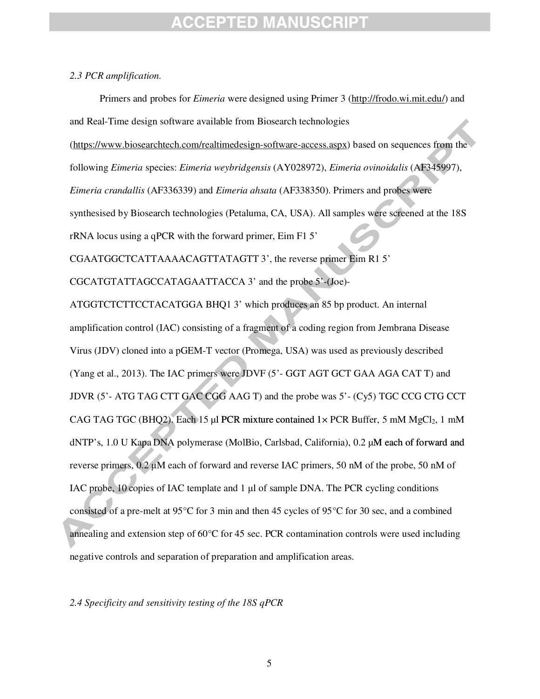#### *2.3 PCR amplification.*

Primers and probes for *Eimeria* were designed using Primer 3 (http://frodo.wi.mit.edu/) and and Real-Time design software available from Biosearch technologies (https://www.biosearchtech.com/realtimedesign-software-access.aspx) based on sequences from the following *Eimeria* species: *Eimeria weybridgensis* (AY028972), *Eimeria ovinoidalis* (AF345997), *Eimeria crandallis* (AF336339) and *Eimeria ahsata* (AF338350). Primers and probes were synthesised by Biosearch technologies (Petaluma, CA, USA). All samples were screened at the 18S rRNA locus using a qPCR with the forward primer, Eim F1 5' CGAATGGCTCATTAAAACAGTTATAGTT 3', the reverse primer Eim R1 5' CGCATGTATTAGCCATAGAATTACCA 3' and the probe 5'-(Joe)- ATGGTCTCTTCCTACATGGA BHQ1 3' which produces an 85 bp product. An internal amplification control (IAC) consisting of a fragment of a coding region from Jembrana Disease Virus (JDV) cloned into a pGEM-T vector (Promega, USA) was used as previously described (Yang et al., 2013). The IAC primers were JDVF (5'- GGT AGT GCT GAA AGA CAT T) and JDVR (5'- ATG TAG CTT GAC CGG AAG T) and the probe was 5'- (Cy5) TGC CCG CTG CCT CAG TAG TGC (BHQ2). Each 15 µl PCR mixture contained  $1 \times PCR$  Buffer, 5 mM MgCl<sub>2</sub>, 1 mM dNTP's, 1.0 U Kapa DNA polymerase (MolBio, Carlsbad, California), 0.2  $\mu$ M each of forward and reverse primers, 0.2 µM each of forward and reverse IAC primers, 50 nM of the probe, 50 nM of IAC probe, 10 copies of IAC template and 1 µl of sample DNA. The PCR cycling conditions consisted of a pre-melt at 95 $\degree$ C for 3 min and then 45 cycles of 95 $\degree$ C for 30 sec, and a combined annealing and extension step of 60°C for 45 sec. PCR contamination controls were used including negative controls and separation of preparation and amplification areas.

*2.4 Specificity and sensitivity testing of the 18S qPCR*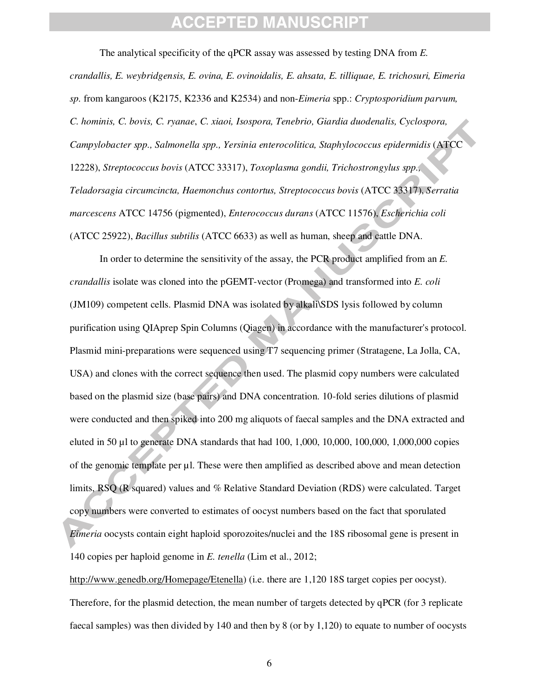The analytical specificity of the qPCR assay was assessed by testing DNA from *E. crandallis, E. weybridgensis, E. ovina, E. ovinoidalis, E. ahsata, E. tilliquae, E. trichosuri, Eimeria sp.* from kangaroos (K2175, K2336 and K2534) and non-*Eimeria* spp.: *Cryptosporidium parvum, C. hominis, C. bovis, C. ryanae*, *C. xiaoi, Isospora, Tenebrio, Giardia duodenalis, Cyclospora, Campylobacter spp., Salmonella spp., Yersinia enterocolitica, Staphylococcus epidermidis* (ATCC 12228), *Streptococcus bovis* (ATCC 33317), *Toxoplasma gondii, Trichostrongylus spp., Teladorsagia circumcincta, Haemonchus contortus, Streptococcus bovis* (ATCC 33317), *Serratia marcescens* ATCC 14756 (pigmented), *Enterococcus durans* (ATCC 11576), *Escherichia coli*  (ATCC 25922), *Bacillus subtilis* (ATCC 6633) as well as human, sheep and cattle DNA.

In order to determine the sensitivity of the assay, the PCR product amplified from an *E. crandallis* isolate was cloned into the pGEMT-vector (Promega) and transformed into *E. coli*  (JM109) competent cells. Plasmid DNA was isolated by alkali\SDS lysis followed by column purification using QIAprep Spin Columns (Qiagen) in accordance with the manufacturer's protocol. Plasmid mini-preparations were sequenced using T7 sequencing primer (Stratagene, La Jolla, CA, USA) and clones with the correct sequence then used. The plasmid copy numbers were calculated based on the plasmid size (base pairs) and DNA concentration. 10-fold series dilutions of plasmid were conducted and then spiked into 200 mg aliquots of faecal samples and the DNA extracted and eluted in 50 µl to generate DNA standards that had 100, 1,000, 10,000, 100,000, 1,000,000 copies of the genomic template per µl. These were then amplified as described above and mean detection limits, RSQ (R squared) values and % Relative Standard Deviation (RDS) were calculated. Target copy numbers were converted to estimates of oocyst numbers based on the fact that sporulated *Eimeria* oocysts contain eight haploid sporozoites/nuclei and the 18S ribosomal gene is present in 140 copies per haploid genome in *E. tenella* (Lim et al., 2012;

http://www.genedb.org/Homepage/Etenella) (i.e. there are 1,120 18S target copies per oocyst). Therefore, for the plasmid detection, the mean number of targets detected by qPCR (for 3 replicate faecal samples) was then divided by 140 and then by 8 (or by 1,120) to equate to number of oocysts

6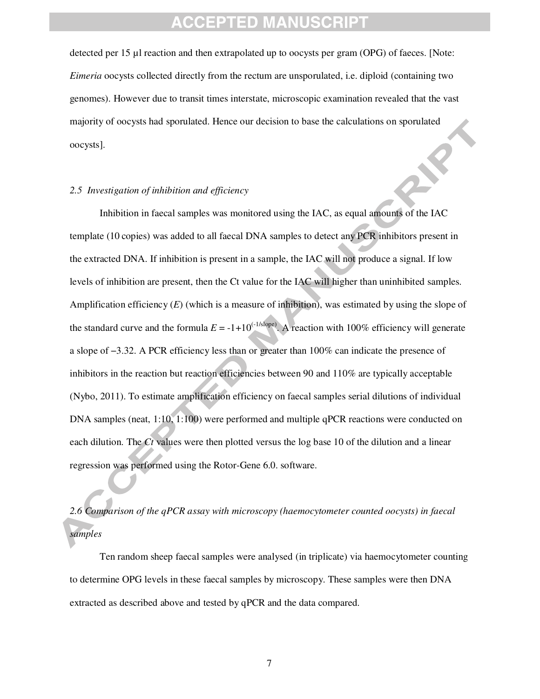detected per 15 µl reaction and then extrapolated up to oocysts per gram (OPG) of faeces. [Note: *Eimeria* oocysts collected directly from the rectum are unsporulated, i.e. diploid (containing two genomes). However due to transit times interstate, microscopic examination revealed that the vast majority of oocysts had sporulated. Hence our decision to base the calculations on sporulated oocysts].

#### *2.5 Investigation of inhibition and efficiency*

Inhibition in faecal samples was monitored using the IAC, as equal amounts of the IAC template (10 copies) was added to all faecal DNA samples to detect any PCR inhibitors present in the extracted DNA. If inhibition is present in a sample, the IAC will not produce a signal. If low levels of inhibition are present, then the Ct value for the IAC will higher than uninhibited samples. Amplification efficiency  $(E)$  (which is a measure of inhibition), was estimated by using the slope of the standard curve and the formula  $E = -1+10^{(-1/\text{slope})}$ . A reaction with 100% efficiency will generate a slope of −3.32. A PCR efficiency less than or greater than 100% can indicate the presence of inhibitors in the reaction but reaction efficiencies between 90 and 110% are typically acceptable (Nybo, 2011). To estimate amplification efficiency on faecal samples serial dilutions of individual DNA samples (neat, 1:10, 1:100) were performed and multiple qPCR reactions were conducted on each dilution. The *Ct* values were then plotted versus the log base 10 of the dilution and a linear regression was performed using the Rotor-Gene 6.0. software.

*2.6 Comparison of the qPCR assay with microscopy (haemocytometer counted oocysts) in faecal samples* 

 Ten random sheep faecal samples were analysed (in triplicate) via haemocytometer counting to determine OPG levels in these faecal samples by microscopy. These samples were then DNA extracted as described above and tested by qPCR and the data compared.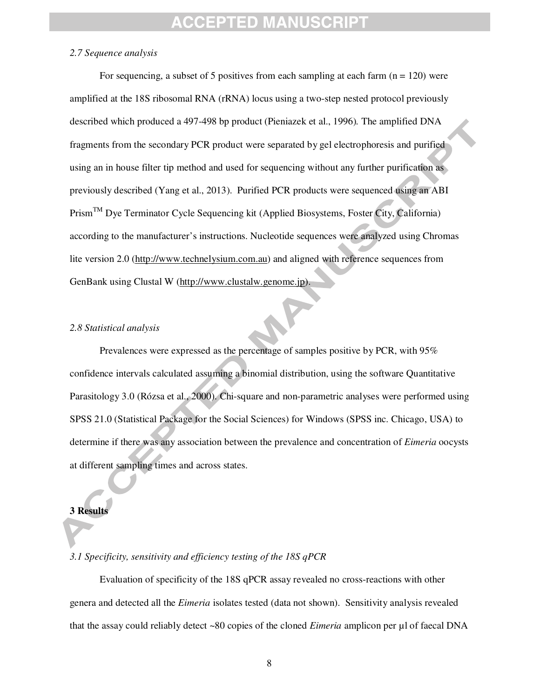#### *2.7 Sequence analysis*

For sequencing, a subset of 5 positives from each sampling at each farm  $(n = 120)$  were amplified at the 18S ribosomal RNA (rRNA) locus using a two-step nested protocol previously described which produced a 497-498 bp product (Pieniazek et al., 1996)*.* The amplified DNA fragments from the secondary PCR product were separated by gel electrophoresis and purified using an in house filter tip method and used for sequencing without any further purification as previously described (Yang et al., 2013). Purified PCR products were sequenced using an ABI  $Prism<sup>TM</sup>$  Dye Terminator Cycle Sequencing kit (Applied Biosystems, Foster City, California) according to the manufacturer's instructions. Nucleotide sequences were analyzed using Chromas lite version 2.0 (http://www.technelysium.com.au) and aligned with reference sequences from GenBank using Clustal W (http://www.clustalw.genome.jp).

#### *2.8 Statistical analysis*

Prevalences were expressed as the percentage of samples positive by PCR, with 95% confidence intervals calculated assuming a binomial distribution, using the software Quantitative Parasitology 3.0 (Rózsa et al., 2000). Chi-square and non-parametric analyses were performed using SPSS 21.0 (Statistical Package for the Social Sciences) for Windows (SPSS inc. Chicago, USA) to determine if there was any association between the prevalence and concentration of *Eimeria* oocysts at different sampling times and across states.

#### **3 Results**

#### *3.1 Specificity, sensitivity and efficiency testing of the 18S qPCR*

Evaluation of specificity of the 18S qPCR assay revealed no cross-reactions with other genera and detected all the *Eimeria* isolates tested (data not shown). Sensitivity analysis revealed that the assay could reliably detect ~80 copies of the cloned *Eimeria* amplicon per µl of faecal DNA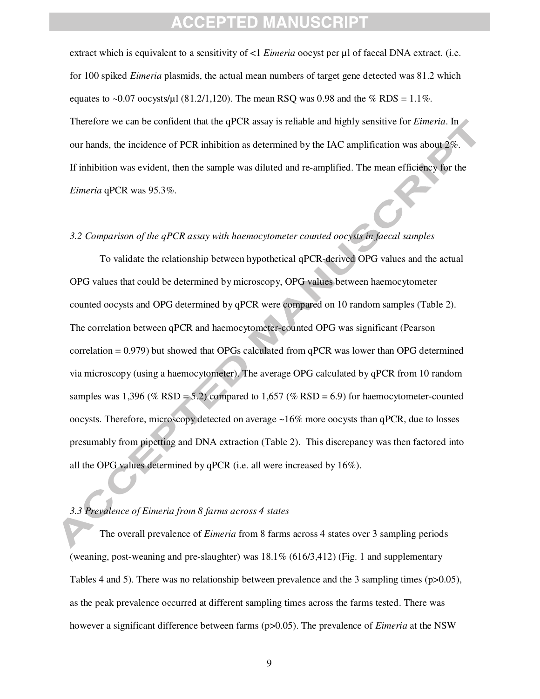extract which is equivalent to a sensitivity of <1 *Eimeria* oocyst per µl of faecal DNA extract. (i.e. for 100 spiked *Eimeria* plasmids, the actual mean numbers of target gene detected was 81.2 which equates to ~0.07 oocysts/ $\mu$ 1 (81.2/1,120). The mean RSQ was 0.98 and the % RDS = 1.1%. Therefore we can be confident that the qPCR assay is reliable and highly sensitive for *Eimeria*. In our hands, the incidence of PCR inhibition as determined by the IAC amplification was about 2%. If inhibition was evident, then the sample was diluted and re-amplified. The mean efficiency for the *Eimeria* qPCR was 95.3%.

#### *3.2 Comparison of the qPCR assay with haemocytometer counted oocysts in faecal samples*

To validate the relationship between hypothetical qPCR-derived OPG values and the actual OPG values that could be determined by microscopy, OPG values between haemocytometer counted oocysts and OPG determined by qPCR were compared on 10 random samples (Table 2). The correlation between qPCR and haemocytometer-counted OPG was significant (Pearson correlation = 0.979) but showed that OPGs calculated from qPCR was lower than OPG determined via microscopy (using a haemocytometer). The average OPG calculated by qPCR from 10 random samples was  $1,396 \ (\% RSD = 5.2)$  compared to  $1,657 \ (\% RSD = 6.9)$  for haemocytometer-counted oocysts. Therefore, microscopy detected on average ~16% more oocysts than qPCR, due to losses presumably from pipetting and DNA extraction (Table 2). This discrepancy was then factored into all the OPG values determined by qPCR (i.e. all were increased by 16%).

#### *3.3 Prevalence of Eimeria from 8 farms across 4 states*

The overall prevalence of *Eimeria* from 8 farms across 4 states over 3 sampling periods (weaning, post-weaning and pre-slaughter) was 18.1% (616/3,412) (Fig. 1 and supplementary Tables 4 and 5). There was no relationship between prevalence and the 3 sampling times ( $p>0.05$ ), as the peak prevalence occurred at different sampling times across the farms tested. There was however a significant difference between farms (p>0.05). The prevalence of *Eimeria* at the NSW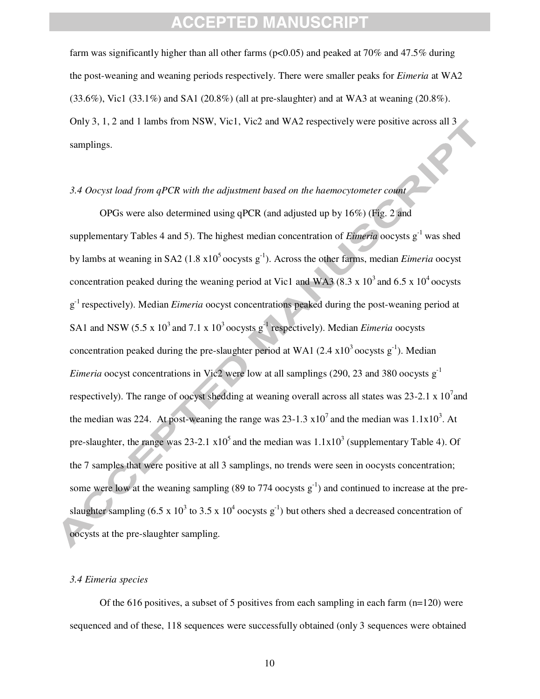farm was significantly higher than all other farms ( $p<0.05$ ) and peaked at 70% and 47.5% during the post-weaning and weaning periods respectively. There were smaller peaks for *Eimeria* at WA2  $(33.6\%)$ , Vic1  $(33.1\%)$  and SA1  $(20.8\%)$  (all at pre-slaughter) and at WA3 at weaning  $(20.8\%)$ . Only 3, 1, 2 and 1 lambs from NSW, Vic1, Vic2 and WA2 respectively were positive across all 3 samplings.

#### *3.4 Oocyst load from qPCR with the adjustment based on the haemocytometer count*

OPGs were also determined using qPCR (and adjusted up by 16%) (Fig. 2 and supplementary Tables 4 and 5). The highest median concentration of *Eimeria* oocysts  $g^{-1}$  was shed by lambs at weaning in SA2 (1.8  $x10^5$  oocysts  $g^{-1}$ ). Across the other farms, median *Eimeria* oocyst concentration peaked during the weaning period at Vic1 and WA3 (8.3 x 10<sup>3</sup> and 6.5 x 10<sup>4</sup> oocysts g<sup>-1</sup> respectively). Median *Eimeria* oocyst concentrations peaked during the post-weaning period at SA1 and NSW (5.5 x  $10^3$  and 7.1 x  $10^3$  oocysts g<sup>-1</sup> respectively). Median *Eimeria* oocysts concentration peaked during the pre-slaughter period at WA1 (2.4  $\times 10^3$  oocysts g<sup>-1</sup>). Median *Eimeria* oocyst concentrations in Vic2 were low at all samplings (290, 23 and 380 oocysts g<sup>-1</sup> respectively). The range of oocyst shedding at weaning overall across all states was  $23-2.1 \times 10^7$  and the median was 224. At post-weaning the range was  $23-1.3 \times 10^7$  and the median was  $1.1 \times 10^3$ . At pre-slaughter, the range was 23-2.1  $x10^5$  and the median was  $1.1x10^3$  (supplementary Table 4). Of the 7 samples that were positive at all 3 samplings, no trends were seen in oocysts concentration; some were low at the weaning sampling (89 to 774 oocysts  $g^{-1}$ ) and continued to increase at the preslaughter sampling (6.5 x 10<sup>3</sup> to 3.5 x 10<sup>4</sup> oocysts  $g^{-1}$ ) but others shed a decreased concentration of oocysts at the pre-slaughter sampling.

#### *3.4 Eimeria species*

Of the 616 positives, a subset of 5 positives from each sampling in each farm  $(n=120)$  were sequenced and of these, 118 sequences were successfully obtained (only 3 sequences were obtained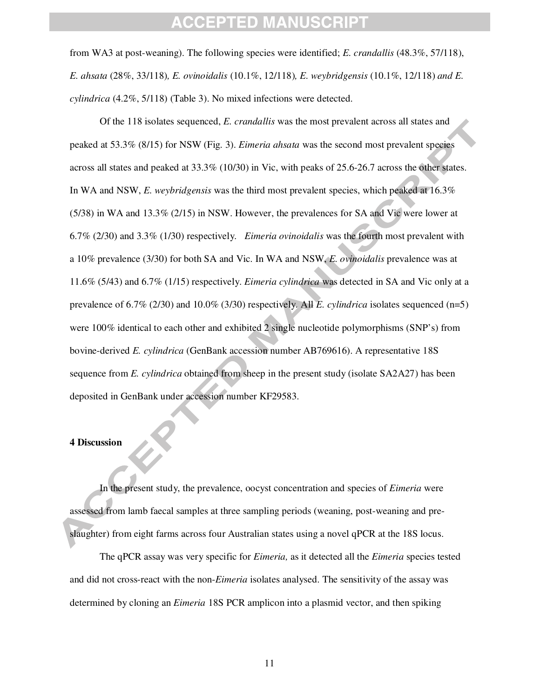from WA3 at post-weaning). The following species were identified; *E. crandallis* (48.3%, 57/118), *E. ahsata* (28%, 33/118)*, E. ovinoidalis* (10.1%, 12/118)*, E. weybridgensis* (10.1%, 12/118) *and E. cylindrica* (4.2%, 5/118) (Table 3). No mixed infections were detected.

Of the 118 isolates sequenced, *E. crandallis* was the most prevalent across all states and peaked at 53.3% (8/15) for NSW (Fig. 3). *Eimeria ahsata* was the second most prevalent species across all states and peaked at 33.3% (10/30) in Vic, with peaks of 25.6-26.7 across the other states. In WA and NSW, *E. weybridgensis* was the third most prevalent species, which peaked at 16.3% (5/38) in WA and 13.3% (2/15) in NSW. However, the prevalences for SA and Vic were lower at 6.7% (2/30) and 3.3% (1/30) respectively. *Eimeria ovinoidalis* was the fourth most prevalent with a 10% prevalence (3/30) for both SA and Vic. In WA and NSW, *E. ovinoidalis* prevalence was at 11.6% (5/43) and 6.7% (1/15) respectively. *Eimeria cylindrica* was detected in SA and Vic only at a prevalence of 6.7% (2/30) and 10.0% (3/30) respectively. All *E. cylindrica* isolates sequenced (n=5) were 100% identical to each other and exhibited 2 single nucleotide polymorphisms (SNP's) from bovine-derived *E. cylindrica* (GenBank accession number AB769616). A representative 18S sequence from *E. cylindrica* obtained from sheep in the present study (isolate SA2A27) has been deposited in GenBank under accession number KF29583.

#### **4 Discussion**

In the present study, the prevalence, oocyst concentration and species of *Eimeria* were assessed from lamb faecal samples at three sampling periods (weaning, post-weaning and preslaughter) from eight farms across four Australian states using a novel qPCR at the 18S locus.

The qPCR assay was very specific for *Eimeria,* as it detected all the *Eimeria* species tested and did not cross-react with the non-*Eimeria* isolates analysed. The sensitivity of the assay was determined by cloning an *Eimeria* 18S PCR amplicon into a plasmid vector, and then spiking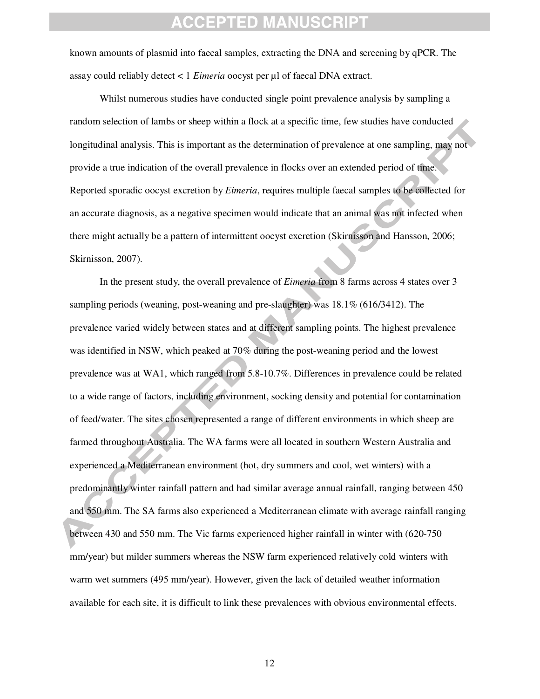known amounts of plasmid into faecal samples, extracting the DNA and screening by qPCR. The assay could reliably detect < 1 *Eimeria* oocyst per µl of faecal DNA extract.

Whilst numerous studies have conducted single point prevalence analysis by sampling a random selection of lambs or sheep within a flock at a specific time, few studies have conducted longitudinal analysis. This is important as the determination of prevalence at one sampling, may not provide a true indication of the overall prevalence in flocks over an extended period of time. Reported sporadic oocyst excretion by *Eimeria*, requires multiple faecal samples to be collected for an accurate diagnosis, as a negative specimen would indicate that an animal was not infected when there might actually be a pattern of intermittent oocyst excretion (Skirnisson and Hansson, 2006; Skirnisson, 2007).

In the present study, the overall prevalence of *Eimeria* from 8 farms across 4 states over 3 sampling periods (weaning, post-weaning and pre-slaughter) was 18.1% (616/3412). The prevalence varied widely between states and at different sampling points. The highest prevalence was identified in NSW, which peaked at 70% during the post-weaning period and the lowest prevalence was at WA1, which ranged from 5.8-10.7%. Differences in prevalence could be related to a wide range of factors, including environment, socking density and potential for contamination of feed/water. The sites chosen represented a range of different environments in which sheep are farmed throughout Australia. The WA farms were all located in southern Western Australia and experienced a Mediterranean environment (hot, dry summers and cool, wet winters) with a predominantly winter rainfall pattern and had similar average annual rainfall, ranging between 450 and 550 mm. The SA farms also experienced a Mediterranean climate with average rainfall ranging between 430 and 550 mm. The Vic farms experienced higher rainfall in winter with (620-750 mm/year) but milder summers whereas the NSW farm experienced relatively cold winters with warm wet summers (495 mm/year). However, given the lack of detailed weather information available for each site, it is difficult to link these prevalences with obvious environmental effects.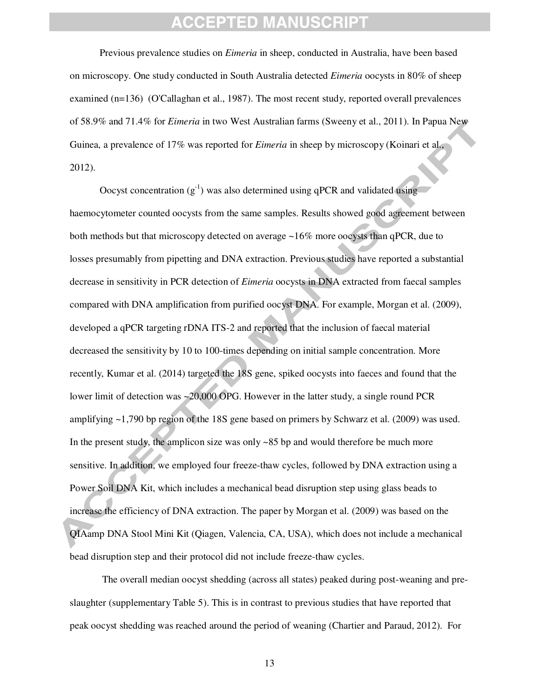Previous prevalence studies on *Eimeria* in sheep, conducted in Australia, have been based on microscopy. One study conducted in South Australia detected *Eimeria* oocysts in 80% of sheep examined (n=136) (O'Callaghan et al., 1987). The most recent study, reported overall prevalences of 58.9% and 71.4% for *Eimeria* in two West Australian farms (Sweeny et al., 2011). In Papua New Guinea, a prevalence of 17% was reported for *Eimeria* in sheep by microscopy (Koinari et al., 2012).

Oocyst concentration  $(g^{-1})$  was also determined using qPCR and validated using haemocytometer counted oocysts from the same samples. Results showed good agreement between both methods but that microscopy detected on average ~16% more oocysts than qPCR, due to losses presumably from pipetting and DNA extraction. Previous studies have reported a substantial decrease in sensitivity in PCR detection of *Eimeria* oocysts in DNA extracted from faecal samples compared with DNA amplification from purified oocyst DNA. For example, Morgan et al. (2009), developed a qPCR targeting rDNA ITS-2 and reported that the inclusion of faecal material decreased the sensitivity by 10 to 100-times depending on initial sample concentration. More recently, Kumar et al. (2014) targeted the 18S gene, spiked oocysts into faeces and found that the lower limit of detection was ~20,000 OPG. However in the latter study, a single round PCR amplifying ~1,790 bp region of the 18S gene based on primers by Schwarz et al. (2009) was used. In the present study, the amplicon size was only ~85 bp and would therefore be much more sensitive. In addition, we employed four freeze-thaw cycles, followed by DNA extraction using a Power Soil DNA Kit, which includes a mechanical bead disruption step using glass beads to increase the efficiency of DNA extraction. The paper by Morgan et al. (2009) was based on the QIAamp DNA Stool Mini Kit (Qiagen, Valencia, CA, USA), which does not include a mechanical bead disruption step and their protocol did not include freeze-thaw cycles.

 The overall median oocyst shedding (across all states) peaked during post-weaning and preslaughter (supplementary Table 5). This is in contrast to previous studies that have reported that peak oocyst shedding was reached around the period of weaning (Chartier and Paraud, 2012). For

13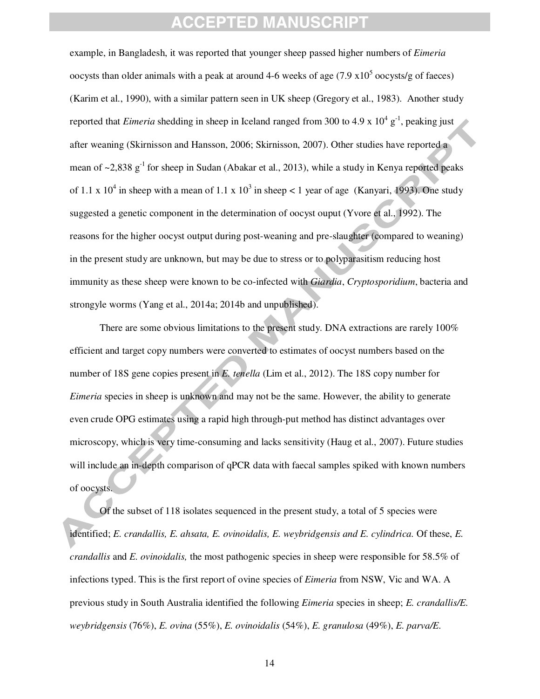example, in Bangladesh, it was reported that younger sheep passed higher numbers of *Eimeria* oocysts than older animals with a peak at around 4-6 weeks of age  $(7.9 \times 10^5 \text{ oocysts/g}$  of faeces) (Karim et al., 1990), with a similar pattern seen in UK sheep (Gregory et al., 1983). Another study reported that *Eimeria* shedding in sheep in Iceland ranged from 300 to 4.9 x 10<sup>4</sup> g<sup>-1</sup>, peaking just after weaning (Skirnisson and Hansson, 2006; Skirnisson, 2007). Other studies have reported a mean of  $\sim$ 2,838 g<sup>-1</sup> for sheep in Sudan (Abakar et al., 2013), while a study in Kenya reported peaks of 1.1 x 10<sup>4</sup> in sheep with a mean of 1.1 x 10<sup>3</sup> in sheep < 1 year of age (Kanyari, 1993). One study suggested a genetic component in the determination of oocyst ouput (Yvore et al., 1992). The reasons for the higher oocyst output during post-weaning and pre-slaughter (compared to weaning) in the present study are unknown, but may be due to stress or to polyparasitism reducing host immunity as these sheep were known to be co-infected with *Giardia*, *Cryptosporidium*, bacteria and strongyle worms (Yang et al., 2014a; 2014b and unpublished).

There are some obvious limitations to the present study. DNA extractions are rarely 100% efficient and target copy numbers were converted to estimates of oocyst numbers based on the number of 18S gene copies present in *E. tenella* (Lim et al., 2012). The 18S copy number for *Eimeria* species in sheep is unknown and may not be the same. However, the ability to generate even crude OPG estimates using a rapid high through-put method has distinct advantages over microscopy, which is very time-consuming and lacks sensitivity (Haug et al., 2007). Future studies will include an in-depth comparison of qPCR data with faecal samples spiked with known numbers of oocysts.

Of the subset of 118 isolates sequenced in the present study, a total of 5 species were identified; *E. crandallis, E. ahsata, E. ovinoidalis, E. weybridgensis and E. cylindrica.* Of these, *E. crandallis* and *E. ovinoidalis,* the most pathogenic species in sheep were responsible for 58.5% of infections typed. This is the first report of ovine species of *Eimeria* from NSW, Vic and WA. A previous study in South Australia identified the following *Eimeria* species in sheep; *E. crandallis/E. weybridgensis* (76%), *E. ovina* (55%), *E. ovinoidalis* (54%), *E. granulosa* (49%), *E. parva/E.* 

14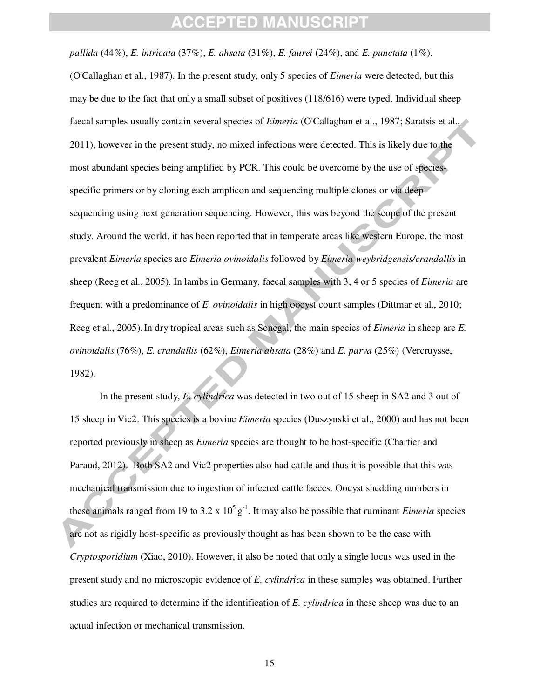*pallida* (44%), *E. intricata* (37%), *E. ahsata* (31%), *E. faurei* (24%), and *E. punctata* (1%). (O'Callaghan et al., 1987). In the present study, only 5 species of *Eimeria* were detected, but this may be due to the fact that only a small subset of positives (118/616) were typed. Individual sheep faecal samples usually contain several species of *Eimeria* (O'Callaghan et al., 1987; Saratsis et al., 2011), however in the present study, no mixed infections were detected. This is likely due to the most abundant species being amplified by PCR. This could be overcome by the use of speciesspecific primers or by cloning each amplicon and sequencing multiple clones or via deep sequencing using next generation sequencing. However, this was beyond the scope of the present study. Around the world, it has been reported that in temperate areas like western Europe, the most prevalent *Eimeria* species are *Eimeria ovinoidalis* followed by *Eimeria weybridgensis/crandallis* in sheep (Reeg et al., 2005). In lambs in Germany, faecal samples with 3, 4 or 5 species of *Eimeria* are frequent with a predominance of *E. ovinoidalis* in high oocyst count samples (Dittmar et al., 2010; Reeg et al., 2005).In dry tropical areas such as Senegal, the main species of *Eimeria* in sheep are *E. ovinoidalis* (76%), *E. crandallis* (62%), *Eimeria ahsata* (28%) and *E. parva* (25%) (Vercruysse, 1982).

In the present study, *E. cylindrica* was detected in two out of 15 sheep in SA2 and 3 out of 15 sheep in Vic2. This species is a bovine *Eimeria* species (Duszynski et al., 2000) and has not been reported previously in sheep as *Eimeria* species are thought to be host-specific (Chartier and Paraud, 2012). Both SA2 and Vic2 properties also had cattle and thus it is possible that this was mechanical transmission due to ingestion of infected cattle faeces. Oocyst shedding numbers in these animals ranged from 19 to 3.2 x  $10^5$  g<sup>-1</sup>. It may also be possible that ruminant *Eimeria* species are not as rigidly host-specific as previously thought as has been shown to be the case with *Cryptosporidium* (Xiao, 2010). However, it also be noted that only a single locus was used in the present study and no microscopic evidence of *E. cylindrica* in these samples was obtained. Further studies are required to determine if the identification of *E. cylindrica* in these sheep was due to an actual infection or mechanical transmission.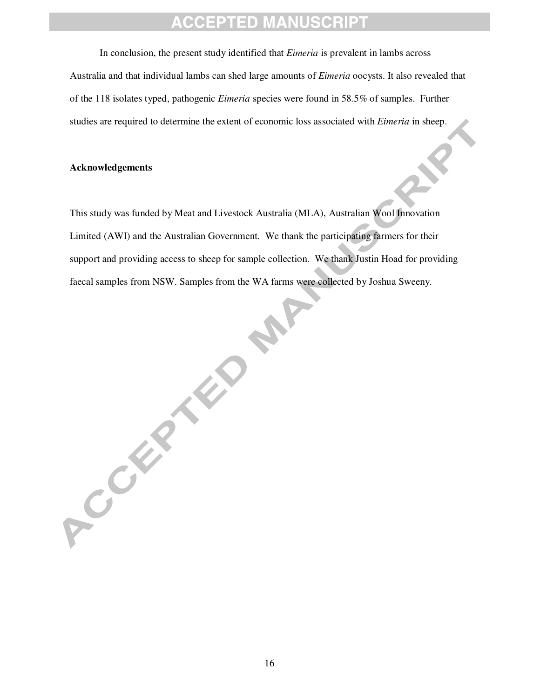In conclusion, the present study identified that *Eimeria* is prevalent in lambs across Australia and that individual lambs can shed large amounts of *Eimeria* oocysts. It also revealed that of the 118 isolates typed, pathogenic *Eimeria* species were found in 58.5% of samples. Further studies are required to determine the extent of economic loss associated with *Eimeria* in sheep.

#### **Acknowledgements**

ACCEPTED

This study was funded by Meat and Livestock Australia (MLA), Australian Wool Innovation Limited (AWI) and the Australian Government. We thank the participating farmers for their support and providing access to sheep for sample collection. We thank Justin Hoad for providing faecal samples from NSW. Samples from the WA farms were collected by Joshua Sweeny.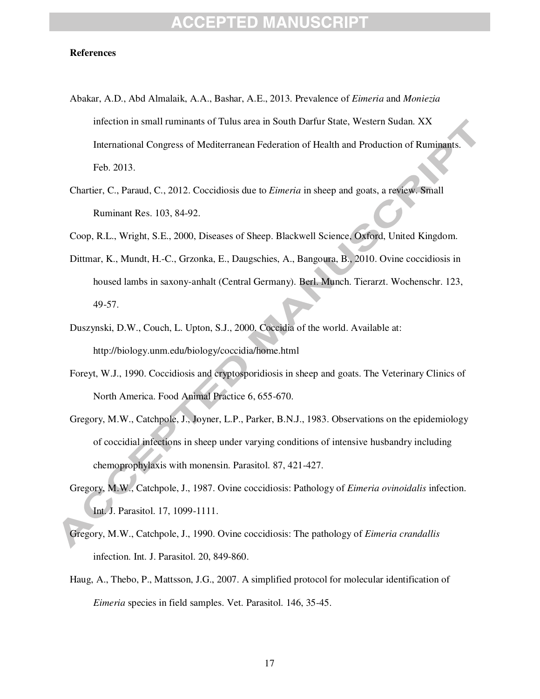#### **References**

- Abakar, A.D., Abd Almalaik, A.A., Bashar, A.E., 2013. Prevalence of *Eimeria* and *Moniezia* infection in small ruminants of Tulus area in South Darfur State, Western Sudan. XX International Congress of Mediterranean Federation of Health and Production of Ruminants. Feb. 2013.
- Chartier, C., Paraud, C., 2012. Coccidiosis due to *Eimeria* in sheep and goats, a review. Small Ruminant Res. 103, 84-92.
- Coop, R.L., Wright, S.E., 2000, Diseases of Sheep. Blackwell Science, Oxford, United Kingdom.
- Dittmar, K., Mundt, H.-C., Grzonka, E., Daugschies, A., Bangoura, B., 2010. Ovine coccidiosis in housed lambs in saxony-anhalt (Central Germany). Berl. Munch. Tierarzt. Wochenschr. 123, 49-57.
- Duszynski, D.W., Couch, L. Upton, S.J., 2000. Coccidia of the world. Available at: http://biology.unm.edu/biology/coccidia/home.html
- Foreyt, W.J., 1990. Coccidiosis and cryptosporidiosis in sheep and goats. The Veterinary Clinics of North America. Food Animal Practice 6, 655-670.
- Gregory, M.W., Catchpole, J., Joyner, L.P., Parker, B.N.J., 1983. Observations on the epidemiology of coccidial infections in sheep under varying conditions of intensive husbandry including chemoprophylaxis with monensin. Parasitol. 87, 421-427.
- Gregory, M.W., Catchpole, J., 1987. Ovine coccidiosis: Pathology of *Eimeria ovinoidalis* infection. Int. J. Parasitol. 17, 1099-1111.
- Gregory, M.W., Catchpole, J., 1990. Ovine coccidiosis: The pathology of *Eimeria crandallis* infection. Int. J. Parasitol. 20, 849-860.
- Haug, A., Thebo, P., Mattsson, J.G., 2007. A simplified protocol for molecular identification of *Eimeria* species in field samples. Vet. Parasitol. 146, 35-45.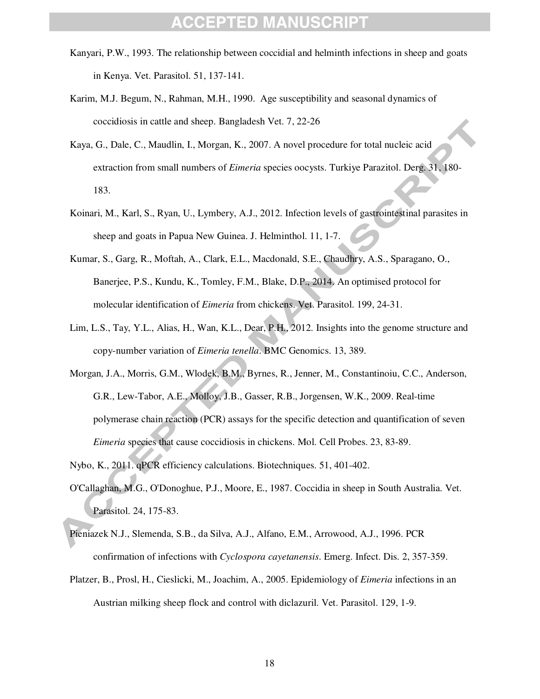- Kanyari, P.W., 1993. The relationship between coccidial and helminth infections in sheep and goats in Kenya. Vet. Parasitol. 51, 137-141.
- Karim, M.J. Begum, N., Rahman, M.H., 1990. Age susceptibility and seasonal dynamics of coccidiosis in cattle and sheep. Bangladesh Vet. 7, 22-26
- Kaya, G., Dale, C., Maudlin, I., Morgan, K., 2007. A novel procedure for total nucleic acid extraction from small numbers of *Eimeria* species oocysts. Turkiye Parazitol. Derg. 31, 180- 183.
- Koinari, M., Karl, S., Ryan, U., Lymbery, A.J., 2012. Infection levels of gastrointestinal parasites in sheep and goats in Papua New Guinea. J. Helminthol. 11, 1-7.
- Kumar, S., Garg, R., Moftah, A., Clark, E.L., Macdonald, S.E., Chaudhry, A.S., Sparagano, O., Banerjee, P.S., Kundu, K., Tomley, F.M., Blake, D.P., 2014. An optimised protocol for molecular identification of *Eimeria* from chickens. Vet. Parasitol. 199, 24-31.
- Lim, L.S., Tay, Y.L., Alias, H., Wan, K.L., Dear, P.H., 2012. Insights into the genome structure and copy-number variation of *Eimeria tenella*. BMC Genomics. 13, 389.
- Morgan, J.A., Morris, G.M., Wlodek, B.M., Byrnes, R., Jenner, M., Constantinoiu, C.C., Anderson, G.R., Lew-Tabor, A.E., Molloy, J.B., Gasser, R.B., Jorgensen, W.K., 2009. Real-time polymerase chain reaction (PCR) assays for the specific detection and quantification of seven *Eimeria* species that cause coccidiosis in chickens. Mol. Cell Probes. 23, 83-89.

Nybo, K., 2011. qPCR efficiency calculations. Biotechniques. 51, 401-402.

- O'Callaghan, M.G., O'Donoghue, P.J., Moore, E., 1987. Coccidia in sheep in South Australia. Vet. Parasitol. 24, 175-83.
- Pieniazek N.J., Slemenda, S.B., da Silva, A.J., Alfano, E.M., Arrowood, A.J., 1996. PCR confirmation of infections with *Cyclospora cayetanensis*. Emerg. Infect. Dis. 2, 357-359.
- Platzer, B., Prosl, H., Cieslicki, M., Joachim, A., 2005. Epidemiology of *Eimeria* infections in an Austrian milking sheep flock and control with diclazuril. Vet. Parasitol. 129, 1-9.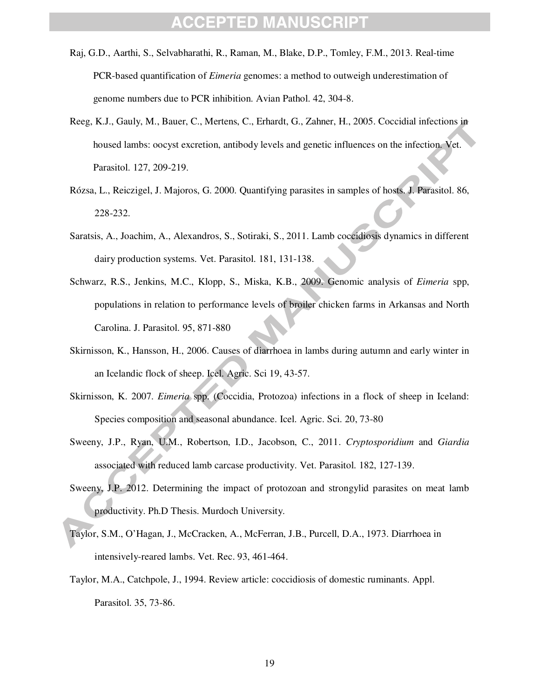- Raj, G.D., Aarthi, S., Selvabharathi, R., Raman, M., Blake, D.P., Tomley, F.M., 2013. Real-time PCR-based quantification of *Eimeria* genomes: a method to outweigh underestimation of genome numbers due to PCR inhibition. Avian Pathol. 42, 304-8.
- Reeg, K.J., Gauly, M., Bauer, C., Mertens, C., Erhardt, G., Zahner, H., 2005. Coccidial infections in housed lambs: oocyst excretion, antibody levels and genetic influences on the infection. Vet. Parasitol. 127, 209-219.
- Rózsa, L., Reiczigel, J. Majoros, G. 2000. Quantifying parasites in samples of hosts. J. Parasitol. 86, 228-232.
- Saratsis, A., Joachim, A., Alexandros, S., Sotiraki, S., 2011. Lamb coccidiosis dynamics in different dairy production systems. Vet. Parasitol. 181, 131-138.
- Schwarz, R.S., Jenkins, M.C., Klopp, S., Miska, K.B., 2009. Genomic analysis of *Eimeria* spp, populations in relation to performance levels of broiler chicken farms in Arkansas and North Carolina. J. Parasitol. 95, 871-880
- Skirnisson, K., Hansson, H., 2006. Causes of diarrhoea in lambs during autumn and early winter in an Icelandic flock of sheep. Icel. Agric. Sci 19, 43-57.
- Skirnisson, K. 2007. *Eimeria* spp. (Coccidia, Protozoa) infections in a flock of sheep in Iceland: Species composition and seasonal abundance. Icel. Agric. Sci. 20, 73-80
- Sweeny, J.P., Ryan, U.M., Robertson, I.D., Jacobson, C., 2011. *Cryptosporidium* and *Giardia* associated with reduced lamb carcase productivity. Vet. Parasitol. 182, 127-139.
- Sweeny, J.P. 2012. Determining the impact of protozoan and strongylid parasites on meat lamb productivity. Ph.D Thesis. Murdoch University.
- Taylor, S.M., O'Hagan, J., McCracken, A., McFerran, J.B., Purcell, D.A., 1973. Diarrhoea in intensively-reared lambs. Vet. Rec. 93, 461-464.
- Taylor, M.A., Catchpole, J., 1994. Review article: coccidiosis of domestic ruminants. Appl. Parasitol. 35, 73-86.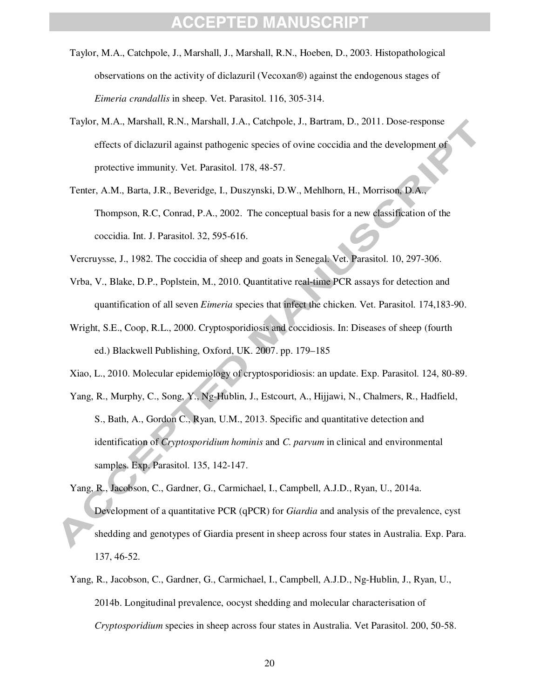- Taylor, M.A., Catchpole, J., Marshall, J., Marshall, R.N., Hoeben, D., 2003. Histopathological observations on the activity of diclazuril (Vecoxan®) against the endogenous stages of *Eimeria crandallis* in sheep. Vet. Parasitol. 116, 305-314.
- Taylor, M.A., Marshall, R.N., Marshall, J.A., Catchpole, J., Bartram, D., 2011. Dose-response effects of diclazuril against pathogenic species of ovine coccidia and the development of protective immunity. Vet. Parasitol. 178, 48-57.
- Tenter, A.M., Barta, J.R., Beveridge, I., Duszynski, D.W., Mehlhorn, H., Morrison, D.A., Thompson, R.C, Conrad, P.A., 2002. The conceptual basis for a new classification of the coccidia. Int. J. Parasitol. 32, 595-616.
- Vercruysse, J., 1982. The coccidia of sheep and goats in Senegal. Vet. Parasitol. 10, 297-306.
- Vrba, V., Blake, D.P., Poplstein, M., 2010. Quantitative real-time PCR assays for detection and quantification of all seven *Eimeria* species that infect the chicken. Vet. Parasitol. 174,183-90.
- Wright, S.E., Coop, R.L., 2000. Cryptosporidiosis and coccidiosis. In: Diseases of sheep (fourth ed.) Blackwell Publishing, Oxford, UK. 2007. pp. 179–185
- Xiao, L., 2010. Molecular epidemiology of cryptosporidiosis: an update. Exp. Parasitol. 124, 80-89.
- Yang, R., Murphy, C., Song, Y., Ng-Hublin, J., Estcourt, A., Hijjawi, N., Chalmers, R., Hadfield, S., Bath, A., Gordon C., Ryan, U.M., 2013. Specific and quantitative detection and identification of *Cryptosporidium hominis* and *C. parvum* in clinical and environmental samples. Exp. Parasitol. 135, 142-147.
- Yang, R., Jacobson, C., Gardner, G., Carmichael, I., Campbell, A.J.D., Ryan, U., 2014a. Development of a quantitative PCR (qPCR) for *Giardia* and analysis of the prevalence, cyst shedding and genotypes of Giardia present in sheep across four states in Australia. Exp. Para. 137, 46-52.
- Yang, R., Jacobson, C., Gardner, G., Carmichael, I., Campbell, A.J.D., Ng-Hublin, J., Ryan, U., 2014b. Longitudinal prevalence, oocyst shedding and molecular characterisation of *Cryptosporidium* species in sheep across four states in Australia. Vet Parasitol. 200, 50-58.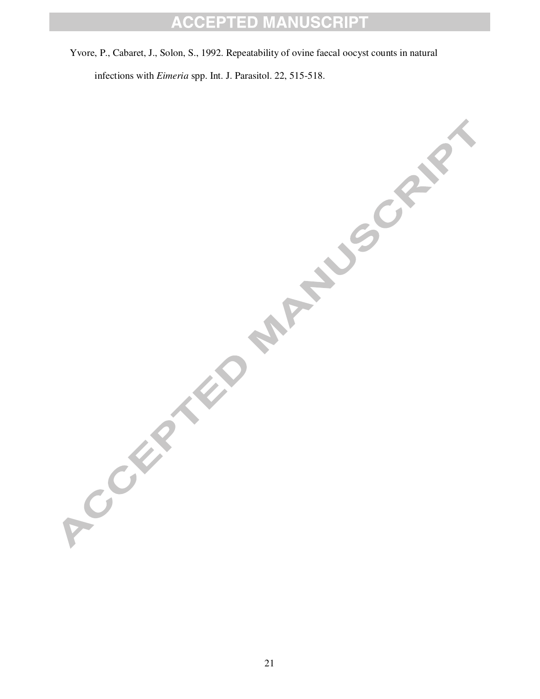Yvore, P., Cabaret, J., Solon, S., 1992. Repeatability of ovine faecal oocyst counts in natural

infections with *Eimeria* spp. Int. J. Parasitol. 22, 515-518.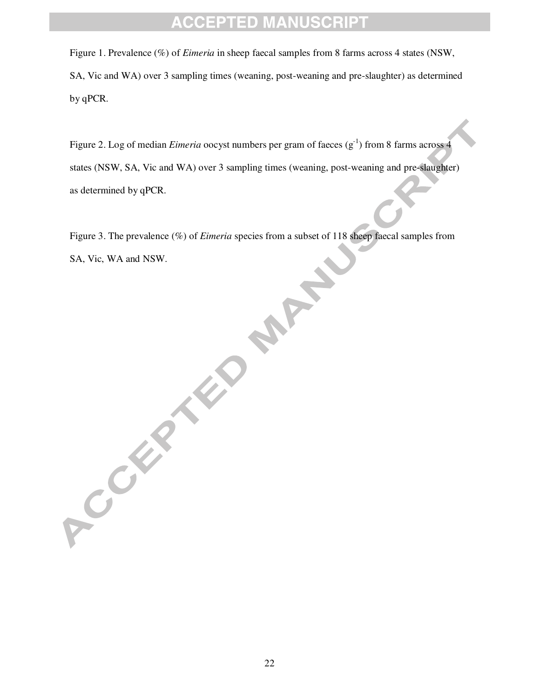Figure 1. Prevalence (%) of *Eimeria* in sheep faecal samples from 8 farms across 4 states (NSW, SA, Vic and WA) over 3 sampling times (weaning, post-weaning and pre-slaughter) as determined by qPCR.

Figure 2. Log of median *Eimeria* oocyst numbers per gram of faeces (g<sup>-1</sup>) from 8 farms across 4 states (NSW, SA, Vic and WA) over 3 sampling times (weaning, post-weaning and pre-slaughter) as determined by qPCR.

Figure 3. The prevalence (%) of *Eimeria* species from a subset of 118 sheep faecal samples from SA, Vic, WA and NSW. **PART** 

ACCEPTED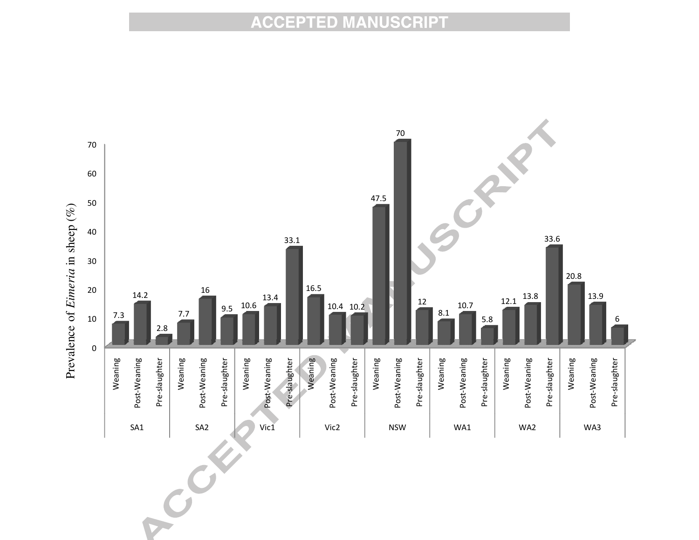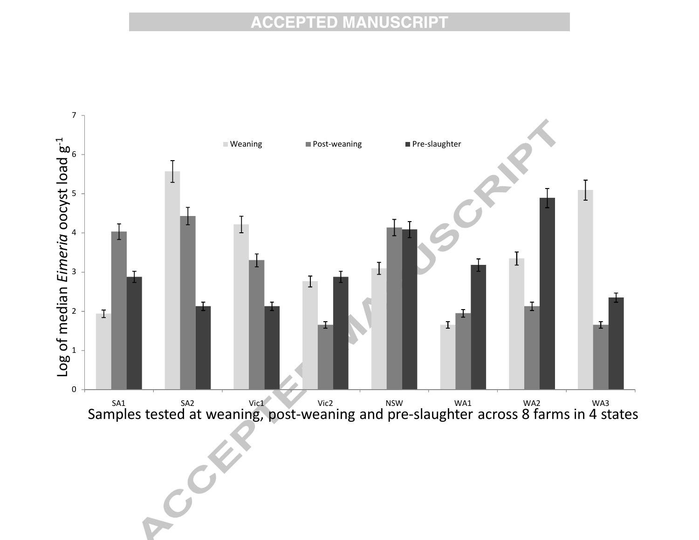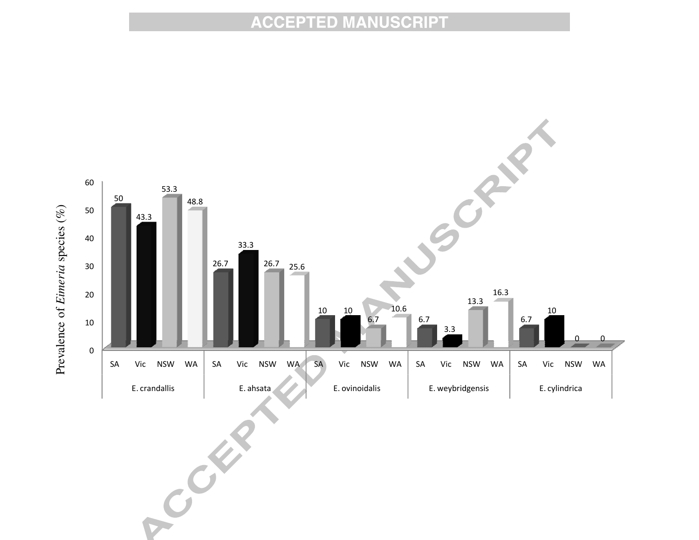

**C**  $\mathbf{C}$  $\boldsymbol{c}^{\boldsymbol{\mathsf{c}}}$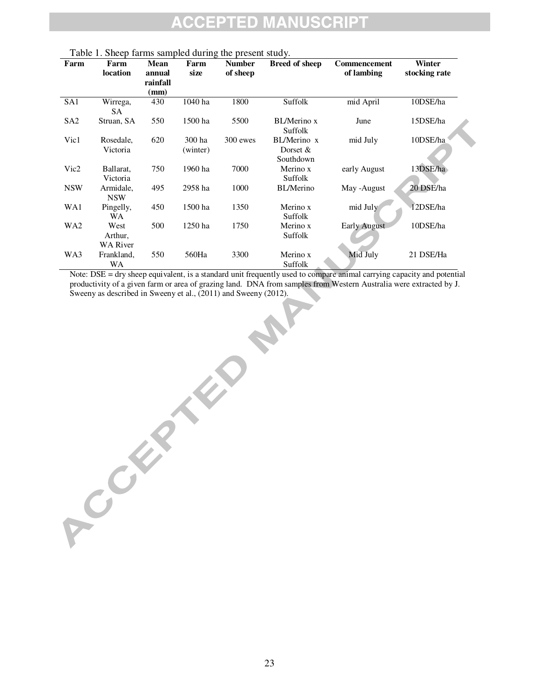#### **SCRIPT** ED MA IP TI NU  $\bigcirc$ **C**

| Farm            | Farm                    | <b>Mean</b> | Farm     | <b>Number</b> | <b>Breed of sheep</b>   | Commencement        | Winter        |
|-----------------|-------------------------|-------------|----------|---------------|-------------------------|---------------------|---------------|
|                 | location                | annual      | size     | of sheep      |                         | of lambing          | stocking rate |
|                 |                         | rainfall    |          |               |                         |                     |               |
|                 |                         | (mm)        |          |               |                         |                     |               |
| SA1             | Wirrega,<br><b>SA</b>   | 430         | 1040 ha  | 1800          | Suffolk                 | mid April           | 10DSE/ha      |
| SA <sub>2</sub> | Struan, SA              | 550         | 1500 ha  | 5500          | BL/Merino x<br>Suffolk  | June                | 15DSE/ha      |
| Vic1            | Rosedale,               | 620         | 300 ha   | 300 ewes      | BL/Merino x             | mid July            | 10DSE/ha      |
|                 | Victoria                |             | (winter) |               | Dorset $&$<br>Southdown |                     |               |
| Vic2            | Ballarat,               | 750         | 1960 ha  | 7000          | Merino x                | early August        | 13DSE/ha      |
|                 | Victoria                |             |          |               | Suffolk                 |                     |               |
| <b>NSW</b>      | Armidale,<br><b>NSW</b> | 495         | 2958 ha  | 1000          | <b>BL/Merino</b>        | May -August         | 20 DSE/ha     |
| WA1             | Pingelly,<br><b>WA</b>  | 450         | 1500 ha  | 1350          | Merino x<br>Suffolk     | mid July            | 12DSE/ha      |
| WA <sub>2</sub> | West<br>Arthur,         | 500         | 1250 ha  | 1750          | Merino x<br>Suffolk     | <b>Early August</b> | 10DSE/ha      |
|                 | <b>WA River</b>         |             |          |               |                         |                     |               |
| WA3             | Frankland,              | 550         | 560Ha    | 3300          | Merino x                | Mid July            | 21 DSE/Ha     |
|                 | WA                      |             |          |               | Suffolk                 |                     |               |

Table 1. Sheep farms sampled during the present study.

ACCEPTED 2

Note: DSE = dry sheep equivalent, is a standard unit frequently used to compare animal carrying capacity and potential productivity of a given farm or area of grazing land. DNA from samples from Western Australia were extracted by J. Sweeny as described in Sweeny et al., (2011) and Sweeny (2012).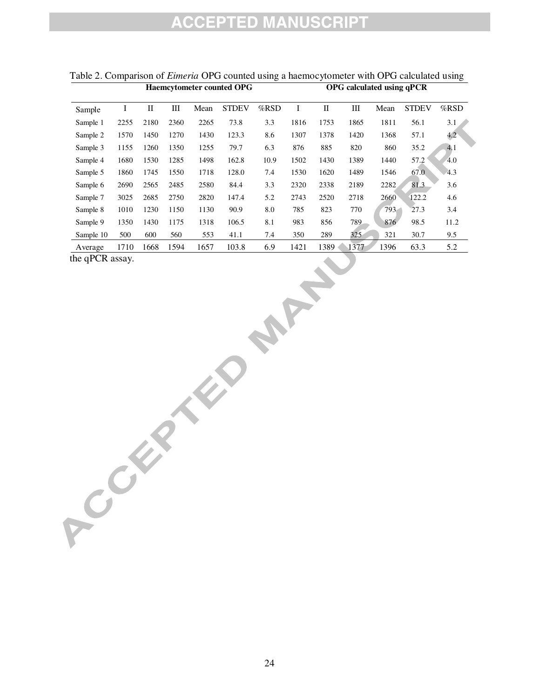|           | <b>Haemcytometer counted OPG</b> |             |      |      |              |      | OPG calculated using qPCR |      |      |      |              |               |
|-----------|----------------------------------|-------------|------|------|--------------|------|---------------------------|------|------|------|--------------|---------------|
| Sample    | I                                | $_{\rm II}$ | Ш    | Mean | <b>STDEV</b> | %RSD | I                         | П    | Ш    | Mean | <b>STDEV</b> | $%$ RSD       |
| Sample 1  | 2255                             | 2180        | 2360 | 2265 | 73.8         | 3.3  | 1816                      | 1753 | 1865 | 1811 | 56.1         | 3.1           |
| Sample 2  | 1570                             | 1450        | 1270 | 1430 | 123.3        | 8.6  | 1307                      | 1378 | 1420 | 1368 | 57.1         | $4.2^{\circ}$ |
| Sample 3  | 1155                             | 1260        | 1350 | 1255 | 79.7         | 6.3  | 876                       | 885  | 820  | 860  | 35.2         | 4.1           |
| Sample 4  | 1680                             | 1530        | 1285 | 1498 | 162.8        | 10.9 | 1502                      | 1430 | 1389 | 1440 | 57.2         | 4.0           |
| Sample 5  | 1860                             | 1745        | 1550 | 1718 | 128.0        | 7.4  | 1530                      | 1620 | 1489 | 1546 | 67.0         | 4.3           |
| Sample 6  | 2690                             | 2565        | 2485 | 2580 | 84.4         | 3.3  | 2320                      | 2338 | 2189 | 2282 | 81.3         | 3.6           |
| Sample 7  | 3025                             | 2685        | 2750 | 2820 | 147.4        | 5.2  | 2743                      | 2520 | 2718 | 2660 | 122.2        | 4.6           |
| Sample 8  | 1010                             | 1230        | 1150 | 1130 | 90.9         | 8.0  | 785                       | 823  | 770  | 793  | 27.3         | 3.4           |
| Sample 9  | 1350                             | 1430        | 1175 | 1318 | 106.5        | 8.1  | 983                       | 856  | 789  | 876  | 98.5         | 11.2          |
| Sample 10 | 500                              | 600         | 560  | 553  | 41.1         | 7.4  | 350                       | 289  | 325  | 321  | 30.7         | 9.5           |
| Average   | 1710                             | 1668        | 1594 | 1657 | 103.8        | 6.9  | 1421                      | 1389 | 1377 | 1396 | 63.3         | 5.2           |

### Table 2. Comparison of *Eimeria* OPG counted using a haemocytometer with OPG calculated using

the qPCR assay.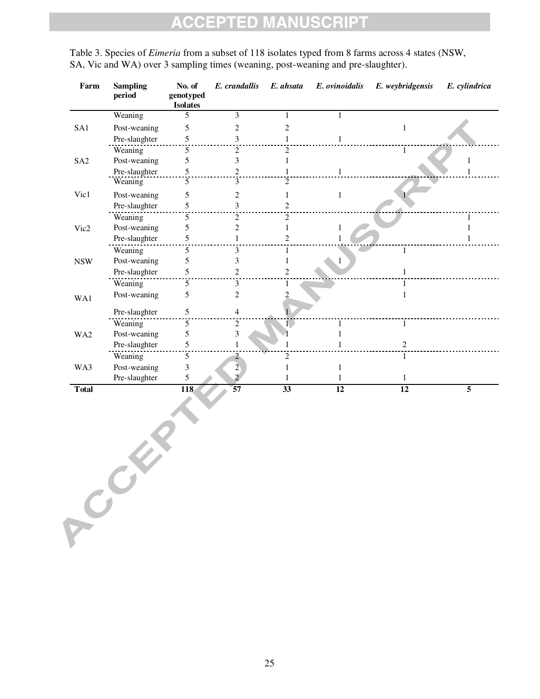Table 3. Species of *Eimeria* from a subset of 118 isolates typed from 8 farms across 4 states (NSW, SA, Vic and WA) over 3 sampling times (weaning, post-weaning and pre-slaughter).

| Farm            | <b>Sampling</b><br>period | No. of<br>genotyped<br><b>Isolates</b> | E. crandallis          | E. ahsata                   | E. ovinoidalis | E. weybridgensis | E. cylindrica |
|-----------------|---------------------------|----------------------------------------|------------------------|-----------------------------|----------------|------------------|---------------|
|                 | Weaning                   | 5                                      | 3                      |                             |                |                  |               |
| SA1             | Post-weaning              | 5                                      | 2                      |                             |                |                  |               |
|                 | Pre-slaughter             | 5                                      | 3                      |                             |                |                  |               |
|                 | Weaning                   | 5                                      | 2                      | $\mathfrak{D}$              |                | 1                |               |
| SA <sub>2</sub> | Post-weaning              | 5                                      | 3                      |                             |                |                  |               |
|                 | Pre-slaughter             | 5                                      | 2                      |                             |                |                  |               |
|                 | Weaning                   | 5                                      | 3                      | $\mathcal{D}_{\mathcal{L}}$ |                |                  |               |
| Vic1            | Post-weaning              | 5                                      | 2                      |                             |                |                  |               |
|                 | Pre-slaughter             | 5                                      | 3                      | 2                           |                |                  |               |
|                 | Weaning                   | 5                                      | $\overline{2}$         | $\overline{2}$              |                |                  |               |
| Vic2            | Post-weaning              | 5                                      | $\overline{c}$         |                             |                |                  |               |
|                 | Pre-slaughter             | 5                                      |                        | 2                           |                |                  |               |
|                 | Weaning                   | 5                                      | 3                      |                             |                |                  |               |
| <b>NSW</b>      | Post-weaning              | 5                                      | 3                      |                             |                |                  |               |
|                 | Pre-slaughter             | 5                                      | 2                      | $\overline{c}$              |                |                  |               |
|                 | Weaning                   | 5                                      | 3                      |                             |                |                  |               |
| WA1             | Post-weaning              | 5                                      | $\mathfrak{D}$         | 2                           |                |                  |               |
|                 | Pre-slaughter             | 5                                      | 4                      |                             |                |                  |               |
|                 | Weaning                   | 5                                      | 2                      |                             |                | 1                |               |
| WA2             | Post-weaning              | 5                                      | 3                      |                             |                |                  |               |
|                 | Pre-slaughter             | 5                                      |                        |                             |                | 2                |               |
|                 | Weaning                   | 5                                      | 2                      | $\mathfrak{D}$              |                |                  |               |
| WA3             | Post-weaning              | 3                                      | $\overline{2}$         |                             |                |                  |               |
|                 | Pre-slaughter             | 5                                      | $\mathcal{D}_{\alpha}$ |                             |                | 1                |               |
| <b>Total</b>    |                           | 118                                    | 57                     | 33                          | 12             | 12               | 5             |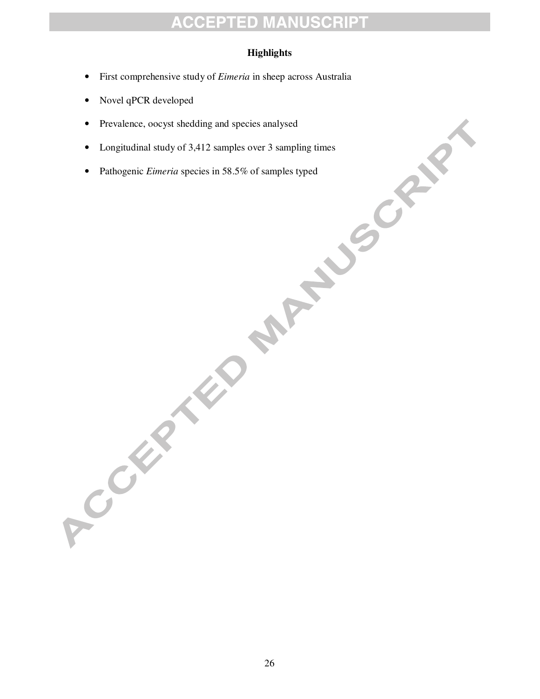#### **Highlights**

- First comprehensive study of *Eimeria* in sheep across Australia
- Novel qPCR developed
- Prevalence, oocyst shedding and species analysed
- Longitudinal study of 3,412 samples over 3 sampling times
- Pathogenic *Eimeria* species in 58.5% of samples typed